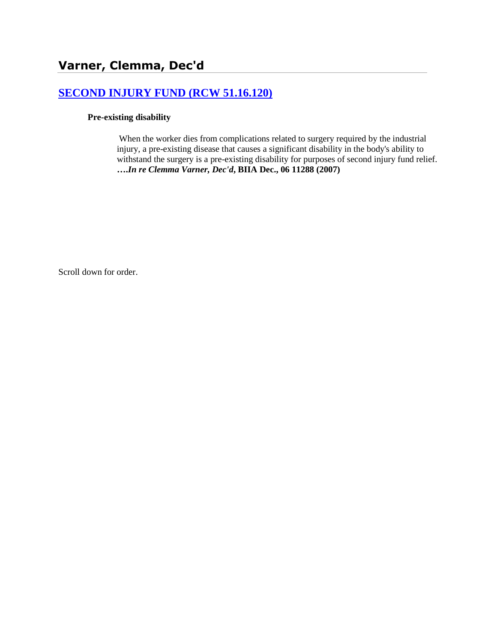# **[SECOND INJURY FUND \(RCW 51.16.120\)](http://www.biia.wa.gov/SDSubjectIndex.html#SECOND_INJURY_FUND)**

### **Pre-existing disability**

When the worker dies from complications related to surgery required by the industrial injury, a pre-existing disease that causes a significant disability in the body's ability to withstand the surgery is a pre-existing disability for purposes of second injury fund relief. **….***In re Clemma Varner, Dec'd***, BIIA Dec., 06 11288 (2007)**

Scroll down for order.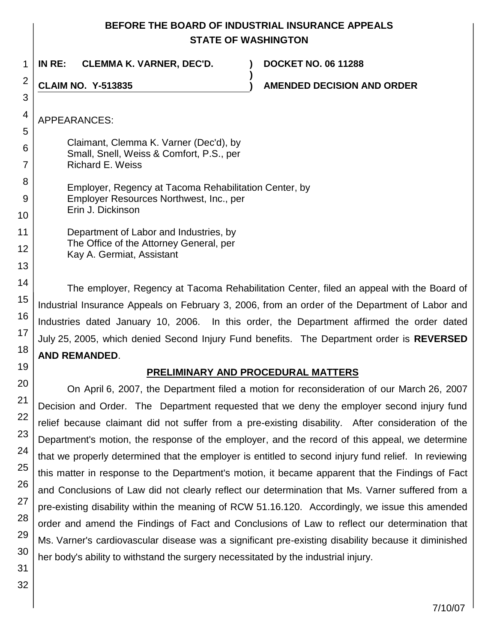## **BEFORE THE BOARD OF INDUSTRIAL INSURANCE APPEALS STATE OF WASHINGTON**

**)**

**IN RE: CLEMMA K. VARNER, DEC'D. ) DOCKET NO. 06 11288**

**CLAIM NO. Y-513835 ) AMENDED DECISION AND ORDER**

- Claimant, Clemma K. Varner (Dec'd), by Small, Snell, Weiss & Comfort, P.S., per Richard E. Weiss Employer, Regency at Tacoma Rehabilitation Center, by Employer Resources Northwest, Inc., per Erin J. Dickinson Department of Labor and Industries, by The Office of the Attorney General, per
	- Kay A. Germiat, Assistant

The employer, Regency at Tacoma Rehabilitation Center, filed an appeal with the Board of Industrial Insurance Appeals on February 3, 2006, from an order of the Department of Labor and Industries dated January 10, 2006. In this order, the Department affirmed the order dated July 25, 2005, which denied Second Injury Fund benefits. The Department order is **REVERSED AND REMANDED**.

## **PRELIMINARY AND PROCEDURAL MATTERS**

On April 6, 2007, the Department filed a motion for reconsideration of our March 26, 2007 Decision and Order. The Department requested that we deny the employer second injury fund relief because claimant did not suffer from a pre-existing disability. After consideration of the Department's motion, the response of the employer, and the record of this appeal, we determine that we properly determined that the employer is entitled to second injury fund relief. In reviewing this matter in response to the Department's motion, it became apparent that the Findings of Fact and Conclusions of Law did not clearly reflect our determination that Ms. Varner suffered from a pre-existing disability within the meaning of RCW 51.16.120. Accordingly, we issue this amended order and amend the Findings of Fact and Conclusions of Law to reflect our determination that Ms. Varner's cardiovascular disease was a significant pre-existing disability because it diminished her body's ability to withstand the surgery necessitated by the industrial injury.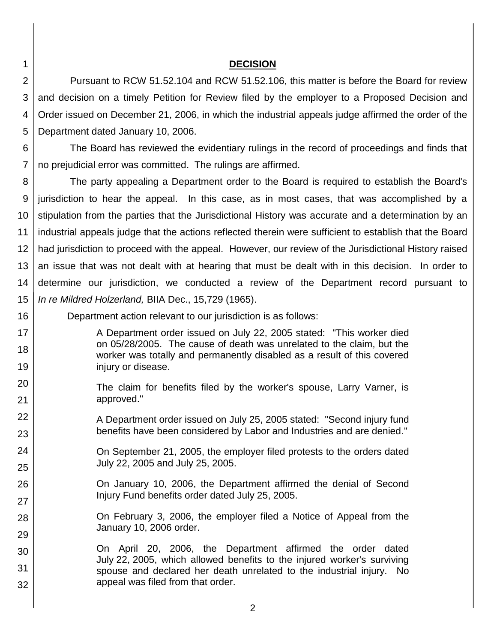1

16

17 18

19

22

23

24

25

26

27

28

29

#### **DECISION**

2 3 4 5 Pursuant to RCW 51.52.104 and RCW 51.52.106, this matter is before the Board for review and decision on a timely Petition for Review filed by the employer to a Proposed Decision and Order issued on December 21, 2006, in which the industrial appeals judge affirmed the order of the Department dated January 10, 2006.

6 7 The Board has reviewed the evidentiary rulings in the record of proceedings and finds that no prejudicial error was committed. The rulings are affirmed.

8 9 10 11 12 13 14 15 The party appealing a Department order to the Board is required to establish the Board's jurisdiction to hear the appeal. In this case, as in most cases, that was accomplished by a stipulation from the parties that the Jurisdictional History was accurate and a determination by an industrial appeals judge that the actions reflected therein were sufficient to establish that the Board had jurisdiction to proceed with the appeal. However, our review of the Jurisdictional History raised an issue that was not dealt with at hearing that must be dealt with in this decision. In order to determine our jurisdiction, we conducted a review of the Department record pursuant to *In re Mildred Holzerland,* BIIA Dec., 15,729 (1965).

Department action relevant to our jurisdiction is as follows:

A Department order issued on July 22, 2005 stated: "This worker died on 05/28/2005. The cause of death was unrelated to the claim, but the worker was totally and permanently disabled as a result of this covered injury or disease.

- 20 21 The claim for benefits filed by the worker's spouse, Larry Varner, is approved."
	- A Department order issued on July 25, 2005 stated: "Second injury fund benefits have been considered by Labor and Industries and are denied."

On September 21, 2005, the employer filed protests to the orders dated July 22, 2005 and July 25, 2005.

On January 10, 2006, the Department affirmed the denial of Second Injury Fund benefits order dated July 25, 2005.

> On February 3, 2006, the employer filed a Notice of Appeal from the January 10, 2006 order.

30 31 32 On April 20, 2006, the Department affirmed the order dated July 22, 2005, which allowed benefits to the injured worker's surviving spouse and declared her death unrelated to the industrial injury. No appeal was filed from that order.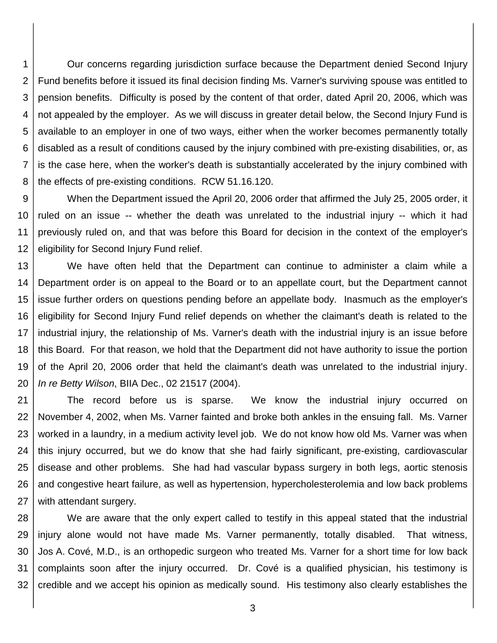1 2 3 4 5 6 7 8 Our concerns regarding jurisdiction surface because the Department denied Second Injury Fund benefits before it issued its final decision finding Ms. Varner's surviving spouse was entitled to pension benefits. Difficulty is posed by the content of that order, dated April 20, 2006, which was not appealed by the employer. As we will discuss in greater detail below, the Second Injury Fund is available to an employer in one of two ways, either when the worker becomes permanently totally disabled as a result of conditions caused by the injury combined with pre-existing disabilities, or, as is the case here, when the worker's death is substantially accelerated by the injury combined with the effects of pre-existing conditions. RCW 51.16.120.

9 10 11 12 When the Department issued the April 20, 2006 order that affirmed the July 25, 2005 order, it ruled on an issue -- whether the death was unrelated to the industrial injury -- which it had previously ruled on, and that was before this Board for decision in the context of the employer's eligibility for Second Injury Fund relief.

13 14 15 16 17 18 19 20 We have often held that the Department can continue to administer a claim while a Department order is on appeal to the Board or to an appellate court, but the Department cannot issue further orders on questions pending before an appellate body. Inasmuch as the employer's eligibility for Second Injury Fund relief depends on whether the claimant's death is related to the industrial injury, the relationship of Ms. Varner's death with the industrial injury is an issue before this Board. For that reason, we hold that the Department did not have authority to issue the portion of the April 20, 2006 order that held the claimant's death was unrelated to the industrial injury. *In re Betty Wilson*, BIIA Dec., 02 21517 (2004).

21 22 23 24 25 26 27 The record before us is sparse. We know the industrial injury occurred on November 4, 2002, when Ms. Varner fainted and broke both ankles in the ensuing fall. Ms. Varner worked in a laundry, in a medium activity level job. We do not know how old Ms. Varner was when this injury occurred, but we do know that she had fairly significant, pre-existing, cardiovascular disease and other problems. She had had vascular bypass surgery in both legs, aortic stenosis and congestive heart failure, as well as hypertension, hypercholesterolemia and low back problems with attendant surgery.

28 29 30 31 32 We are aware that the only expert called to testify in this appeal stated that the industrial injury alone would not have made Ms. Varner permanently, totally disabled. That witness, Jos A. Cové, M.D., is an orthopedic surgeon who treated Ms. Varner for a short time for low back complaints soon after the injury occurred. Dr. Cové is a qualified physician, his testimony is credible and we accept his opinion as medically sound. His testimony also clearly establishes the

3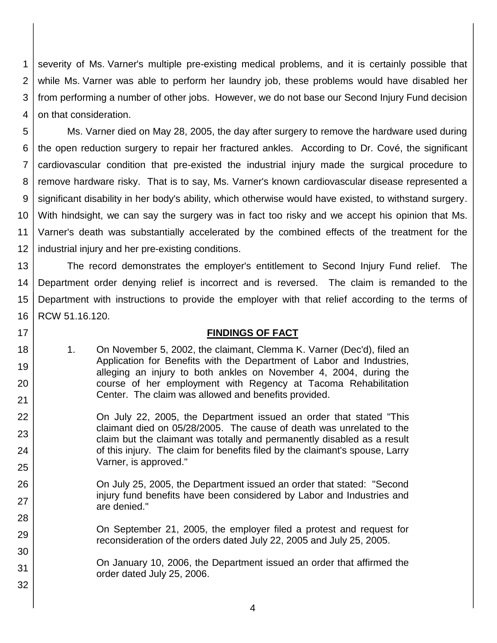1 2 3 4 severity of Ms. Varner's multiple pre-existing medical problems, and it is certainly possible that while Ms. Varner was able to perform her laundry job, these problems would have disabled her from performing a number of other jobs. However, we do not base our Second Injury Fund decision on that consideration.

5 6 7 8 9 10 11 12 Ms. Varner died on May 28, 2005, the day after surgery to remove the hardware used during the open reduction surgery to repair her fractured ankles. According to Dr. Cové, the significant cardiovascular condition that pre-existed the industrial injury made the surgical procedure to remove hardware risky. That is to say, Ms. Varner's known cardiovascular disease represented a significant disability in her body's ability, which otherwise would have existed, to withstand surgery. With hindsight, we can say the surgery was in fact too risky and we accept his opinion that Ms. Varner's death was substantially accelerated by the combined effects of the treatment for the industrial injury and her pre-existing conditions.

13 14 15 16 The record demonstrates the employer's entitlement to Second Injury Fund relief. The Department order denying relief is incorrect and is reversed. The claim is remanded to the Department with instructions to provide the employer with that relief according to the terms of RCW 51.16.120.

### 17

18

19

20

21 22

23

24

25

29

30

31

32

### **FINDINGS OF FACT**

- 1. On November 5, 2002, the claimant, Clemma K. Varner (Dec'd), filed an Application for Benefits with the Department of Labor and Industries, alleging an injury to both ankles on November 4, 2004, during the course of her employment with Regency at Tacoma Rehabilitation Center. The claim was allowed and benefits provided.
- On July 22, 2005, the Department issued an order that stated "This claimant died on 05/28/2005. The cause of death was unrelated to the claim but the claimant was totally and permanently disabled as a result of this injury. The claim for benefits filed by the claimant's spouse, Larry Varner, is approved."
- 26 27 28 On July 25, 2005, the Department issued an order that stated: "Second injury fund benefits have been considered by Labor and Industries and are denied."
	- On September 21, 2005, the employer filed a protest and request for reconsideration of the orders dated July 22, 2005 and July 25, 2005.

On January 10, 2006, the Department issued an order that affirmed the order dated July 25, 2006.

4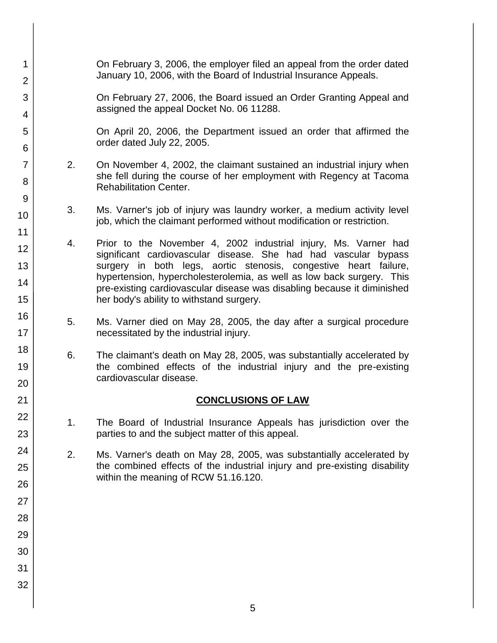| 1<br>$\overline{2}$        | On February 3, 2006, the employer filed an appeal from the order dated<br>January 10, 2006, with the Board of Industrial Insurance Appeals.                                         |                                                                                                                                                                                                                                                                                                                                                                                                        |  |  |
|----------------------------|-------------------------------------------------------------------------------------------------------------------------------------------------------------------------------------|--------------------------------------------------------------------------------------------------------------------------------------------------------------------------------------------------------------------------------------------------------------------------------------------------------------------------------------------------------------------------------------------------------|--|--|
| 3<br>4                     |                                                                                                                                                                                     | On February 27, 2006, the Board issued an Order Granting Appeal and<br>assigned the appeal Docket No. 06 11288.                                                                                                                                                                                                                                                                                        |  |  |
| 5<br>6                     |                                                                                                                                                                                     | On April 20, 2006, the Department issued an order that affirmed the<br>order dated July 22, 2005.                                                                                                                                                                                                                                                                                                      |  |  |
| $\overline{7}$<br>8        | 2.<br>On November 4, 2002, the claimant sustained an industrial injury when<br>she fell during the course of her employment with Regency at Tacoma<br><b>Rehabilitation Center.</b> |                                                                                                                                                                                                                                                                                                                                                                                                        |  |  |
| 9<br>10                    | 3.                                                                                                                                                                                  | Ms. Varner's job of injury was laundry worker, a medium activity level<br>job, which the claimant performed without modification or restriction.                                                                                                                                                                                                                                                       |  |  |
| 11<br>12<br>13<br>14<br>15 | 4.                                                                                                                                                                                  | Prior to the November 4, 2002 industrial injury, Ms. Varner had<br>significant cardiovascular disease. She had had vascular bypass<br>surgery in both legs, aortic stenosis, congestive heart failure,<br>hypertension, hypercholesterolemia, as well as low back surgery. This<br>pre-existing cardiovascular disease was disabling because it diminished<br>her body's ability to withstand surgery. |  |  |
| 16<br>17                   | 5.<br>Ms. Varner died on May 28, 2005, the day after a surgical procedure<br>necessitated by the industrial injury.                                                                 |                                                                                                                                                                                                                                                                                                                                                                                                        |  |  |
| 18<br>19<br>20             | 6.<br>The claimant's death on May 28, 2005, was substantially accelerated by<br>the combined effects of the industrial injury and the pre-existing<br>cardiovascular disease.       |                                                                                                                                                                                                                                                                                                                                                                                                        |  |  |
| 21                         |                                                                                                                                                                                     | <b>CONCLUSIONS OF LAW</b>                                                                                                                                                                                                                                                                                                                                                                              |  |  |
| 22<br>23                   | 1.                                                                                                                                                                                  | The Board of Industrial Insurance Appeals has jurisdiction over the<br>parties to and the subject matter of this appeal.                                                                                                                                                                                                                                                                               |  |  |
| 24<br>25<br>26             | 2.                                                                                                                                                                                  | Ms. Varner's death on May 28, 2005, was substantially accelerated by<br>the combined effects of the industrial injury and pre-existing disability<br>within the meaning of RCW 51.16.120.                                                                                                                                                                                                              |  |  |
| 27<br>28                   |                                                                                                                                                                                     |                                                                                                                                                                                                                                                                                                                                                                                                        |  |  |
| 29                         |                                                                                                                                                                                     |                                                                                                                                                                                                                                                                                                                                                                                                        |  |  |
| 30                         |                                                                                                                                                                                     |                                                                                                                                                                                                                                                                                                                                                                                                        |  |  |
| 31                         |                                                                                                                                                                                     |                                                                                                                                                                                                                                                                                                                                                                                                        |  |  |
| 32                         |                                                                                                                                                                                     |                                                                                                                                                                                                                                                                                                                                                                                                        |  |  |
|                            |                                                                                                                                                                                     |                                                                                                                                                                                                                                                                                                                                                                                                        |  |  |

5